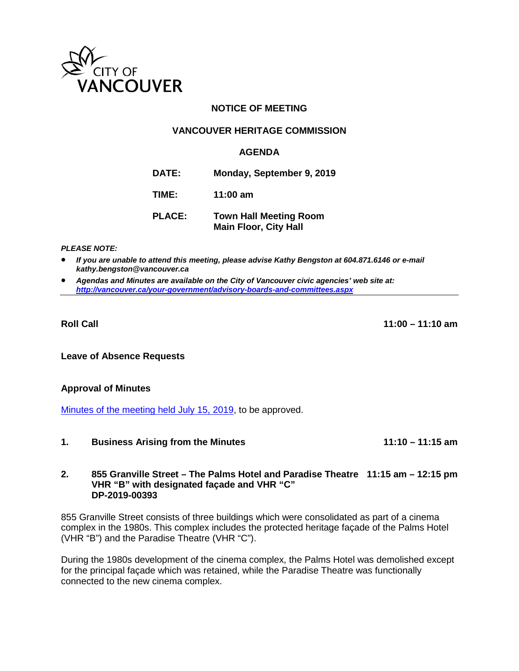

# **NOTICE OF MEETING**

# **VANCOUVER HERITAGE COMMISSION**

## **AGENDA**

**DATE: Monday, September 9, 2019**

**TIME: 11:00 am**

**PLACE: Town Hall Meeting Room Main Floor, City Hall**

*PLEASE NOTE:*

• *If you are unable to attend this meeting, please advise Kathy Bengston at 604.871.6146 or e-mail kathy.bengston@vancouver.ca*

• *Agendas and Minutes are available on the City of Vancouver civic agencies' web site at: <http://vancouver.ca/your-government/advisory-boards-and-committees.aspx>*

**Roll Call 11:00 – 11:10 am**

**Leave of Absence Requests**

### **Approval of Minutes**

[Minutes of the meeting held July 15, 2019,](https://vancouver.ca/docs/council/vher20190715ag.pdf) to be approved.

**1. Business Arising from the Minutes 11:10 – 11:15 am** 

### **2. 855 Granville Street – The Palms Hotel and Paradise Theatre 11:15 am – 12:15 pm VHR "B" with designated façade and VHR "C" DP-2019-00393**

855 Granville Street consists of three buildings which were consolidated as part of a cinema complex in the 1980s. This complex includes the protected heritage façade of the Palms Hotel (VHR "B") and the Paradise Theatre (VHR "C").

During the 1980s development of the cinema complex, the Palms Hotel was demolished except for the principal façade which was retained, while the Paradise Theatre was functionally connected to the new cinema complex.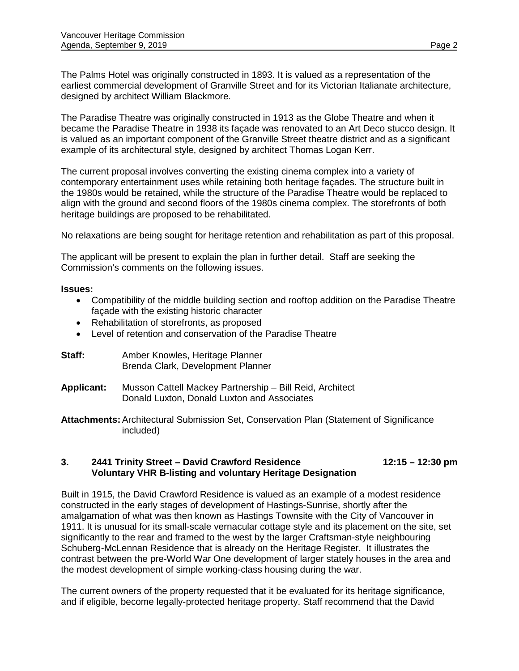The Palms Hotel was originally constructed in 1893. It is valued as a representation of the earliest commercial development of Granville Street and for its Victorian Italianate architecture, designed by architect William Blackmore.

The Paradise Theatre was originally constructed in 1913 as the Globe Theatre and when it became the Paradise Theatre in 1938 its façade was renovated to an Art Deco stucco design. It is valued as an important component of the Granville Street theatre district and as a significant example of its architectural style, designed by architect Thomas Logan Kerr.

The current proposal involves converting the existing cinema complex into a variety of contemporary entertainment uses while retaining both heritage façades. The structure built in the 1980s would be retained, while the structure of the Paradise Theatre would be replaced to align with the ground and second floors of the 1980s cinema complex. The storefronts of both heritage buildings are proposed to be rehabilitated.

No relaxations are being sought for heritage retention and rehabilitation as part of this proposal.

The applicant will be present to explain the plan in further detail. Staff are seeking the Commission's comments on the following issues.

## **Issues:**

- Compatibility of the middle building section and rooftop addition on the Paradise Theatre façade with the existing historic character
- Rehabilitation of storefronts, as proposed
- Level of retention and conservation of the Paradise Theatre

| Staff: | Amber Knowles, Heritage Planner   |
|--------|-----------------------------------|
|        | Brenda Clark, Development Planner |

**Applicant:** Musson Cattell Mackey Partnership – Bill Reid, Architect Donald Luxton, Donald Luxton and Associates

**Attachments:**Architectural Submission Set, Conservation Plan (Statement of Significance included)

# **3. 2441 Trinity Street – David Crawford Residence 12:15 – 12:30 pm Voluntary VHR B-listing and voluntary Heritage Designation**

Built in 1915, the David Crawford Residence is valued as an example of a modest residence constructed in the early stages of development of Hastings-Sunrise, shortly after the amalgamation of what was then known as Hastings Townsite with the City of Vancouver in 1911. It is unusual for its small-scale vernacular cottage style and its placement on the site, set significantly to the rear and framed to the west by the larger Craftsman-style neighbouring Schuberg-McLennan Residence that is already on the Heritage Register. It illustrates the contrast between the pre-World War One development of larger stately houses in the area and the modest development of simple working-class housing during the war.

The current owners of the property requested that it be evaluated for its heritage significance, and if eligible, become legally-protected heritage property. Staff recommend that the David